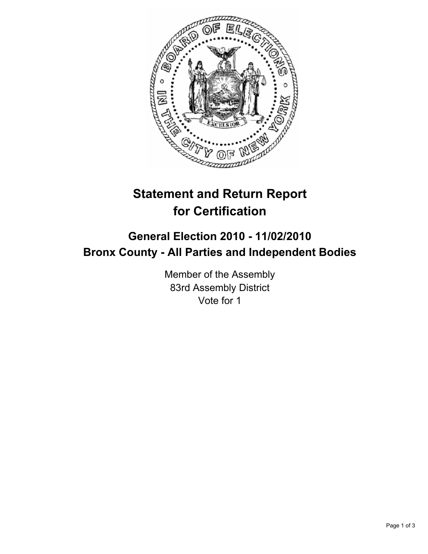

# **Statement and Return Report for Certification**

## **General Election 2010 - 11/02/2010 Bronx County - All Parties and Independent Bodies**

Member of the Assembly 83rd Assembly District Vote for 1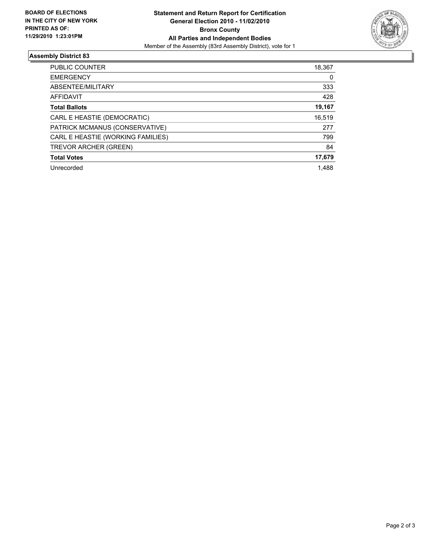

### **Assembly District 83**

| <b>PUBLIC COUNTER</b>             | 18,367 |
|-----------------------------------|--------|
| <b>EMERGENCY</b>                  | 0      |
| ABSENTEE/MILITARY                 | 333    |
| AFFIDAVIT                         | 428    |
| <b>Total Ballots</b>              | 19,167 |
| CARL E HEASTIE (DEMOCRATIC)       | 16,519 |
| PATRICK MCMANUS (CONSERVATIVE)    | 277    |
| CARL E HEASTIE (WORKING FAMILIES) | 799    |
| TREVOR ARCHER (GREEN)             | 84     |
| <b>Total Votes</b>                | 17,679 |
| Unrecorded                        | 1.488  |